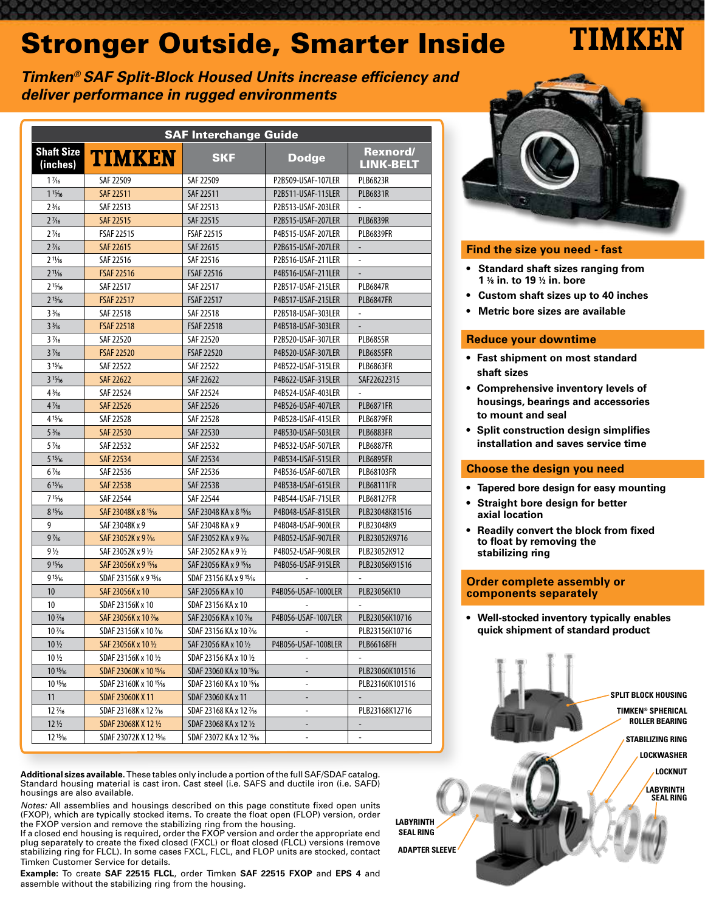# Stronger Outside, Smarter Inside

TIMKEN

### **Timken® SAF Split-Block Housed Units increase efficiency and deliver performance in rugged environments**

| <b>SAF Interchange Guide</b>     |                                   |                                    |                          |                                     |  |  |  |  |
|----------------------------------|-----------------------------------|------------------------------------|--------------------------|-------------------------------------|--|--|--|--|
| <b>Shaft Size</b><br>(inches)    | <b>TIMKEN</b>                     | <b>SKF</b>                         | <b>Dodge</b>             | <b>Rexnord/</b><br><b>LINK-BELT</b> |  |  |  |  |
| $1\frac{7}{6}$                   | SAF 22509                         | SAF 22509                          | P2B509-USAF-107LER       | <b>PLB6823R</b>                     |  |  |  |  |
| 115/16                           | <b>SAF 22511</b>                  | SAF 22511                          | P2B511-USAF-115LER       | <b>PLB6831R</b>                     |  |  |  |  |
| $2\frac{3}{16}$                  | SAF 22513                         | SAF 22513                          | P2B513-USAF-203LER       |                                     |  |  |  |  |
| $2\frac{7}{16}$                  | <b>SAF 22515</b>                  | SAF 22515                          | P2B515-USAF-207LER       | <b>PLB6839R</b>                     |  |  |  |  |
| $2\frac{7}{16}$                  | <b>FSAF 22515</b>                 | <b>FSAF 22515</b>                  | P4B515-USAF-207LER       | <b>PLB6839FR</b>                    |  |  |  |  |
| $2\frac{7}{16}$                  | SAF 22615                         | SAF 22615                          | P2B615-USAF-207LER       | $\frac{1}{2}$                       |  |  |  |  |
| $2^{11}/16$                      | SAF 22516                         | SAF 22516                          | P2B516-USAF-211LER       | ÷,                                  |  |  |  |  |
| $2^{11}/16$                      | <b>FSAF 22516</b>                 | <b>FSAF 22516</b>                  | P4B516-USAF-211LER       |                                     |  |  |  |  |
| $2^{15}/16$                      | SAF 22517                         | SAF 22517                          | P2B517-USAF-215LER       | <b>PLB6847R</b>                     |  |  |  |  |
| $2^{15}/16$                      | <b>FSAF 22517</b>                 | <b>FSAF 22517</b>                  | P4B517-USAF-215LER       | <b>PLB6847FR</b>                    |  |  |  |  |
| $3\frac{3}{16}$                  | SAF 22518                         | SAF 22518                          | P2B518-USAF-303LER       | ä,                                  |  |  |  |  |
| $3\frac{3}{16}$                  | <b>FSAF 22518</b>                 | <b>FSAF 22518</b>                  | P4B518-USAF-303LER       |                                     |  |  |  |  |
| $3\frac{7}{6}$                   | SAF 22520                         | SAF 22520                          | P2B520-USAF-307LER       | <b>PLB6855R</b>                     |  |  |  |  |
| $3\frac{7}{6}$                   | <b>FSAF 22520</b>                 | <b>FSAF 22520</b>                  | P4B520-USAF-307LER       | <b>PLB6855FR</b>                    |  |  |  |  |
| 315/16                           | SAF 22522                         | SAF 22522                          | P4B522-USAF-315LER       | <b>PLB6863FR</b>                    |  |  |  |  |
| 315/16                           | <b>SAF 22622</b>                  | SAF 22622                          | P4B622-USAF-315LER       | SAF22622315                         |  |  |  |  |
| $4\frac{3}{16}$                  | SAF 22524                         | SAF 22524                          | P4B524-USAF-403LER       |                                     |  |  |  |  |
| $4\frac{7}{6}$                   | <b>SAF 22526</b>                  | SAF 22526                          | P4B526-USAF-407LER       | <b>PLB6871FR</b>                    |  |  |  |  |
| 415/16                           | SAF 22528                         | SAF 22528                          | P4B528-USAF-415LER       | <b>PLB6879FR</b>                    |  |  |  |  |
| $5\frac{3}{16}$                  | SAF 22530                         | SAF 22530                          | P4B530-USAF-503LER       | <b>PLB6883FR</b>                    |  |  |  |  |
| $5\frac{7}{16}$                  | SAF 22532                         | SAF 22532                          | P4B532-USAF-507LER       | <b>PLB6887FR</b>                    |  |  |  |  |
| 515/16                           | SAF 22534                         | SAF 22534                          | P4B534-USAF-515LER       | <b>PLB6895FR</b>                    |  |  |  |  |
| $6\frac{7}{16}$                  | SAF 22536                         | SAF 22536                          | P4B536-USAF-607LER       | <b>PLB68103FR</b>                   |  |  |  |  |
| 615/16                           | SAF 22538                         | SAF 22538                          | P4B538-USAF-615LER       | <b>PLB68111FR</b>                   |  |  |  |  |
| 715/16                           | SAF 22544                         | SAF 22544                          | P4B544-USAF-715LER       | <b>PLB68127FR</b>                   |  |  |  |  |
| 815/16                           | SAF 23048K x 8 15/16              | SAF 23048 KA x 8 15/16             | P4B048-USAF-815LER       | PLB23048K81516                      |  |  |  |  |
| 9                                | SAF 23048K x 9                    | SAF 23048 KA x 9                   | P4B048-USAF-900LER       | PLB23048K9                          |  |  |  |  |
| $9\frac{7}{16}$                  | SAF 23052K x 9 1/16               | SAF 23052 KA x 9 1/16              | P4B052-USAF-907LER       | PLB23052K9716                       |  |  |  |  |
| $9\frac{1}{2}$                   | SAF 23052K x 9 1/2                | SAF 23052 KA x 9 1/2               | P4B052-USAF-908LER       | PLB23052K912                        |  |  |  |  |
| 915/16                           | SAF 23056K x 9 15/16              | SAF 23056 KA x 9 15/16             | P4B056-USAF-915LER       | PLB23056K91516                      |  |  |  |  |
| 915/16                           | SDAF 23156K x 9 15/16             | SDAF 23156 KA x 915/16             |                          |                                     |  |  |  |  |
| 10                               | SAF 23056K x 10                   | SAF 23056 KA x 10                  | P4B056-USAF-1000LER      | PLB23056K10                         |  |  |  |  |
| 10                               | SDAF 23156K x 10                  | SDAF 23156 KA x 10                 |                          |                                     |  |  |  |  |
| $10\frac{7}{6}$                  | SAF 23056K x 10 1/16              | SAF 23056 KA x 10 1/16             | P4B056-USAF-1007LER      | PLB23056K10716                      |  |  |  |  |
| $10\frac{7}{6}$                  | SDAF 23156K x 10 1/16             | SDAF 23156 KA x 10 1/16            |                          | PLB23156K10716                      |  |  |  |  |
| $10\frac{1}{2}$                  | SAF 23056K x 10 1/2               | SAF 23056 KA x 10 1/2              | P4B056-USAF-1008LER      | PLB66168FH                          |  |  |  |  |
| $10\,\mathrm{\%}$                | SDAF 23156K x 10 1/2              | SDAF 23156 KA x 10 1/2             |                          |                                     |  |  |  |  |
| 10 <sup>15</sup> / <sub>16</sub> | SDAF 23060K x 10 15/16            | SDAF 23060 KA x 10 15/16           | ÷,                       | PLB23060K101516                     |  |  |  |  |
| $10^{15}/16$                     | SDAF 23160K x 10 15/16            | SDAF 23160 KA x 10 15/16           | ÷,                       | PLB23160K101516                     |  |  |  |  |
| 11                               | SDAF 23060K X 11                  | SDAF 23060 KA x 11                 |                          |                                     |  |  |  |  |
| $12\frac{7}{6}$                  | SDAF 23168K x 12 1/ <sub>16</sub> | SDAF 23168 KA x 12 1/ <sub>6</sub> | $\overline{\phantom{a}}$ | PLB23168K12716                      |  |  |  |  |
| $12\frac{1}{2}$                  | SDAF 23068K X 12 1/2              | SDAF 23068 KA x 12 1/2             |                          |                                     |  |  |  |  |
| $12^{15}/16$                     | SDAF 23072K X 12 15/16            | SDAF 23072 KA x 12 15/16           | $\overline{\phantom{m}}$ | $\overline{\phantom{a}}$            |  |  |  |  |

**Additional sizes available.** These tables only include a portion of the full SAF/SDAF catalog. Standard housing material is cast iron. Cast steel (i.e. SAFS and ductile iron (i.e. SAFD) housings are also available.

Notes: All assemblies and housings described on this page constitute fixed open units (FXOP), which are typically stocked items. To create the float open (FLOP) version, order the FXOP version and remove the stabilizing ring from the housing.

If a closed end housing is required, order the FXOP version and order the appropriate end plug separately to create the fixed closed (FXCL) or float closed (FLCL) versions (remove stabilizing ring for FLCL). In some cases FXCL, FLCL, and FLOP units are stocked, contact Timken Customer Service for details.

**Example:** To create **SAF 22515 FLCL**, order Timken **SAF 22515 FXOP** and **EPS 4** and assemble without the stabilizing ring from the housing.



### **Find the size you need - fast**

- **Standard shaft sizes ranging from 1 3/8 in. to 19 1/2 in. bore**
- **Custom shaft sizes up to 40 inches**
- **Metric bore sizes are available**

### **Reduce your downtime**

- **Fast shipment on most standard shaft sizes**
- **Comprehensive inventory levels of housings, bearings and accessories to mount and seal**
- **Split construction design simplifies installation and saves service time**

### **Choose the design you need**

- **Tapered bore design for easy mounting**
- **Straight bore design for better axial location**
- **Readily convert the block from fixed to float by removing the stabilizing ring**

### **Order complete assembly or components separately**

**• Well-stocked inventory typically enables quick shipment of standard product**

**SPLIT BLOCK HOUSING TIMKEN® SPHERICAL ROLLER BEARING LABYRINTH SEAL RING LOCKNUT LOCKWASHER STABILIZING RING**

**LABYRINTH SEAL RING ADAPTER SLEEVE**